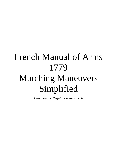# French Manual of Arms 1779 Marching Maneuvers Simplified

*Based on the Regulation June 1776*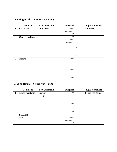# **Opening Ranks – Ouvrez vos Rang**

|                | <b>Command</b>          | <b>Left Command</b> | <b>Diagram</b>         |                       | <b>Right Command</b> |
|----------------|-------------------------|---------------------|------------------------|-----------------------|----------------------|
| $\mathbf{1}$   | En Arriere              | En Arriere          | <b>AAAAAAAA</b>        |                       | En Arriere           |
|                |                         |                     | <b>AAAAAAAA</b>        |                       |                      |
|                |                         |                     | <b>AAAAAAAA</b>        |                       |                      |
|                | <b>Ouvrez vos Rangs</b> |                     | <b><i>AAAAAAAA</i></b> |                       |                      |
|                |                         |                     | <b>AAAAAA</b>          |                       |                      |
|                |                         |                     | <b>AAAAAA</b>          |                       |                      |
|                |                         |                     |                        |                       |                      |
|                |                         |                     | $\boldsymbol{\wedge}$  | $\boldsymbol{\wedge}$ |                      |
|                |                         |                     |                        |                       |                      |
|                |                         |                     |                        |                       |                      |
|                |                         |                     | Λ                      | $\boldsymbol{\wedge}$ |                      |
| $\overline{2}$ | Marche                  |                     | <b>AAAAAAAA</b>        |                       |                      |
|                |                         |                     |                        |                       |                      |
|                |                         |                     |                        |                       |                      |
|                |                         |                     |                        |                       |                      |
|                |                         |                     | <b>AAAAAAAA</b>        |                       |                      |
|                |                         |                     |                        |                       |                      |
|                |                         |                     |                        |                       |                      |
|                |                         |                     | <b>AAAAAAAA</b>        |                       |                      |

# **Closing Ranks – Serrez vos Rangs**

|   | <b>Command</b>   | <b>Left Command</b> | <b>Diagram</b>  | <b>Right Command</b> |
|---|------------------|---------------------|-----------------|----------------------|
|   | Serrez vos Rangs | Serrez vos          | ΛΛΛΛΛΛΛΛ        | Serrez vos Rangs     |
|   |                  | Rangs               |                 |                      |
|   |                  |                     |                 |                      |
|   |                  |                     |                 |                      |
|   |                  |                     | <b>AAAAAAAA</b> |                      |
|   |                  |                     |                 |                      |
|   |                  |                     |                 |                      |
|   |                  |                     | <b>AAAAAAAA</b> |                      |
|   | En Avant         |                     |                 |                      |
| 2 | Marche           |                     | <b>AAAAAAAA</b> |                      |
|   |                  |                     | <b>AAAAAAAA</b> |                      |
|   |                  |                     | <b>AAAAAAAA</b> |                      |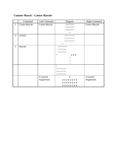### **Counter March – Contre Marche**

|                | Command              | Left Command         | Diagram                                                                                                                                                                                                                                                                                                                                                                                                                                                                                                                                                                                                                                                                                                                                                                                                                                                              | <b>Right Command</b> |
|----------------|----------------------|----------------------|----------------------------------------------------------------------------------------------------------------------------------------------------------------------------------------------------------------------------------------------------------------------------------------------------------------------------------------------------------------------------------------------------------------------------------------------------------------------------------------------------------------------------------------------------------------------------------------------------------------------------------------------------------------------------------------------------------------------------------------------------------------------------------------------------------------------------------------------------------------------|----------------------|
| $\mathbf{1}$   | <b>Contre Marche</b> | <b>Contre Marche</b> | <b><i>AAAAAAAA</i></b>                                                                                                                                                                                                                                                                                                                                                                                                                                                                                                                                                                                                                                                                                                                                                                                                                                               | <b>Contre Marche</b> |
|                |                      |                      | <b><i>AAAAAAAA</i></b>                                                                                                                                                                                                                                                                                                                                                                                                                                                                                                                                                                                                                                                                                                                                                                                                                                               |                      |
|                |                      |                      | <b><i>AAAAAAAA</i></b>                                                                                                                                                                                                                                                                                                                                                                                                                                                                                                                                                                                                                                                                                                                                                                                                                                               |                      |
|                |                      |                      | Λ                                                                                                                                                                                                                                                                                                                                                                                                                                                                                                                                                                                                                                                                                                                                                                                                                                                                    |                      |
| 2              | A Droit              |                      | >>>>>>>>>                                                                                                                                                                                                                                                                                                                                                                                                                                                                                                                                                                                                                                                                                                                                                                                                                                                            |                      |
|                |                      |                      | >>>>>>>>>                                                                                                                                                                                                                                                                                                                                                                                                                                                                                                                                                                                                                                                                                                                                                                                                                                                            |                      |
|                |                      |                      | >>>>>>>>>                                                                                                                                                                                                                                                                                                                                                                                                                                                                                                                                                                                                                                                                                                                                                                                                                                                            |                      |
|                |                      |                      | Λ                                                                                                                                                                                                                                                                                                                                                                                                                                                                                                                                                                                                                                                                                                                                                                                                                                                                    |                      |
| $\overline{3}$ | Marche               |                      | >>>>>>>>                                                                                                                                                                                                                                                                                                                                                                                                                                                                                                                                                                                                                                                                                                                                                                                                                                                             |                      |
|                |                      |                      | >>>>>>>                                                                                                                                                                                                                                                                                                                                                                                                                                                                                                                                                                                                                                                                                                                                                                                                                                                              |                      |
|                |                      |                      | >>>>>>>                                                                                                                                                                                                                                                                                                                                                                                                                                                                                                                                                                                                                                                                                                                                                                                                                                                              |                      |
|                |                      |                      | Λ<br>V V V                                                                                                                                                                                                                                                                                                                                                                                                                                                                                                                                                                                                                                                                                                                                                                                                                                                           |                      |
|                |                      |                      | $\,<\,$                                                                                                                                                                                                                                                                                                                                                                                                                                                                                                                                                                                                                                                                                                                                                                                                                                                              |                      |
|                |                      |                      | $<\,$                                                                                                                                                                                                                                                                                                                                                                                                                                                                                                                                                                                                                                                                                                                                                                                                                                                                |                      |
|                |                      |                      | $\lt$                                                                                                                                                                                                                                                                                                                                                                                                                                                                                                                                                                                                                                                                                                                                                                                                                                                                |                      |
|                |                      |                      | $\wedge$                                                                                                                                                                                                                                                                                                                                                                                                                                                                                                                                                                                                                                                                                                                                                                                                                                                             |                      |
|                |                      |                      | $\begin{array}{c} \displaystyle \quad<< \displaystyle \quad << \displaystyle \quad << \displaystyle \quad << \displaystyle \quad << \displaystyle \quad << \displaystyle \quad << \displaystyle \quad << \displaystyle \quad << \displaystyle \quad << \displaystyle \quad << \displaystyle \quad << \displaystyle \quad << \displaystyle \quad << \displaystyle \quad << \displaystyle \quad << \displaystyle \quad << \displaystyle \quad << \displaystyle \quad << \displaystyle \quad << \displaystyle \quad << \displaystyle \quad << \displaystyle \quad << \displaystyle \quad << \displaystyle \quad << \displaystyle \quad << \displaystyle \quad << \displaystyle \quad << \displaystyle \quad << \displaystyle \quad << \displaystyle \quad << \displaystyle \quad << \displaystyle \quad << \displaystyle \quad << \displaystyle \quad << \displaystyle$ |                      |
|                |                      |                      | $\begin{array}{c} \displaystyle \quad<< \displaystyle \quad << \displaystyle \quad << \displaystyle \quad << \displaystyle \quad << \displaystyle \quad << \displaystyle \quad << \displaystyle \quad << \displaystyle \quad << \displaystyle \quad << \displaystyle \quad << \displaystyle \quad << \displaystyle \quad << \displaystyle \quad << \displaystyle \quad << \displaystyle \quad << \displaystyle \quad << \displaystyle \quad << \displaystyle \quad << \displaystyle \quad << \displaystyle \quad << \displaystyle \quad << \displaystyle \quad << \displaystyle \quad << \displaystyle \quad << \displaystyle \quad << \displaystyle \quad << \displaystyle \quad << \displaystyle \quad << \displaystyle \quad << \displaystyle \quad << \displaystyle \quad << \displaystyle \quad << \displaystyle \quad << \displaystyle \quad << \displaystyle$ |                      |
|                |                      |                      | $\begin{array}{c} \displaystyle \quad<< \displaystyle \quad << \displaystyle \quad << \displaystyle \quad << \displaystyle \quad << \displaystyle \quad << \displaystyle \quad << \displaystyle \quad << \displaystyle \quad << \displaystyle \quad << \displaystyle \quad << \displaystyle \quad << \displaystyle \quad << \displaystyle \quad << \displaystyle \quad << \displaystyle \quad << \displaystyle \quad << \displaystyle \quad << \displaystyle \quad << \displaystyle \quad << \displaystyle \quad << \displaystyle \quad << \displaystyle \quad << \displaystyle \quad << \displaystyle \quad << \displaystyle \quad << \displaystyle \quad << \displaystyle \quad << \displaystyle \quad << \displaystyle \quad << \displaystyle \quad << \displaystyle \quad << \displaystyle \quad << \displaystyle \quad << \displaystyle \quad << \displaystyle$ |                      |
|                |                      | A Gauche             | $\vee$                                                                                                                                                                                                                                                                                                                                                                                                                                                                                                                                                                                                                                                                                                                                                                                                                                                               | A Gauche             |
|                |                      | Alignement           | <b>VVVVVVVV</b>                                                                                                                                                                                                                                                                                                                                                                                                                                                                                                                                                                                                                                                                                                                                                                                                                                                      | Alignement           |
|                |                      |                      | v v v v v v v v                                                                                                                                                                                                                                                                                                                                                                                                                                                                                                                                                                                                                                                                                                                                                                                                                                                      |                      |
|                |                      |                      | <b>VVVVVVVV</b>                                                                                                                                                                                                                                                                                                                                                                                                                                                                                                                                                                                                                                                                                                                                                                                                                                                      |                      |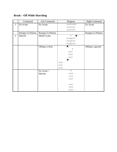# **Break – Off While Marching**

|                | Command           | Left Command      | Diagram                                                                                              | <b>Right Command</b> |
|----------------|-------------------|-------------------|------------------------------------------------------------------------------------------------------|----------------------|
| $\mathbf{1}$   | En Avant          | En Avant          | ΛΛΛΛΛΛΛΛ*                                                                                            | En Avant             |
|                |                   |                   | <b><i>AAAAAAAA</i></b>                                                                               |                      |
|                |                   |                   | <b>AAAAAAAA</b>                                                                                      |                      |
|                | Rompez la Peleton | Rompez la Peleton |                                                                                                      | Rompez la Peleton    |
| $\overline{2}$ | Marche            | Marke la pas      | $\ast$<br>↑                                                                                          |                      |
|                |                   |                   | $\mathsf{V} \mathsf{V} \mathsf{V} \mathsf{V} \mathsf{V} \mathsf{V} \mathsf{V} \mathsf{V} \mathsf{V}$ |                      |
|                |                   |                   | $\Delta$                                                                                             |                      |
|                |                   |                   | ΛΛΛΛ ΛΛΛΛ                                                                                            |                      |
|                |                   | Oblique a droit   | $\blacktriangledown$                                                                                 | Oblique a gauche     |
|                |                   |                   | $\ast$                                                                                               |                      |
|                |                   |                   | <b>AAAA</b>                                                                                          |                      |
|                |                   |                   | <b>AAAA</b>                                                                                          |                      |
|                |                   |                   | <b>AAAA</b>                                                                                          |                      |
|                |                   |                   | 71                                                                                                   |                      |
|                |                   |                   | <b>AAAA</b>                                                                                          |                      |
|                |                   |                   | <b>AAAA</b>                                                                                          |                      |
|                |                   |                   | <b>AAAA</b>                                                                                          |                      |
|                |                   | $En$ Avant $=$    | $\ast$                                                                                               |                      |
|                |                   | Marche            | <b>AAAA</b>                                                                                          |                      |
|                |                   |                   | <b>AAAA</b>                                                                                          |                      |
|                |                   |                   | <b>AAAA</b>                                                                                          |                      |
|                |                   |                   |                                                                                                      |                      |
|                |                   |                   | <b>AAAA</b>                                                                                          |                      |
|                |                   |                   | <b>AAAA</b>                                                                                          |                      |
|                |                   |                   | <b>AAAA</b>                                                                                          |                      |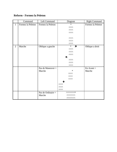### **Reform - Formez la Peleton**

|                | Command           | Left Command        | Diagram                           | <b>Right Command</b> |
|----------------|-------------------|---------------------|-----------------------------------|----------------------|
| $\mathbf{1}$   | Formez la Peleton | Formez la Peleton   | $\ast$                            | Formez la Peleton    |
|                |                   |                     | <b>AAAA</b>                       |                      |
|                |                   |                     | <b>AAAA</b>                       |                      |
|                |                   |                     | <b>AAAA</b>                       |                      |
|                |                   |                     |                                   |                      |
|                |                   |                     | <b>AAAA</b>                       |                      |
|                |                   |                     | <b>AAAA</b>                       |                      |
|                |                   |                     | <b>AAAA</b>                       |                      |
| $\overline{2}$ | Marche            | Oblique a gauche    | $\ast$<br>$\overline{\mathbf{z}}$ | Oblique a droit      |
|                |                   |                     | <b>AAAA</b>                       |                      |
|                |                   |                     | <b>AAAA</b>                       |                      |
|                |                   |                     | <b>AAAA</b>                       |                      |
|                |                   |                     | R                                 |                      |
|                |                   |                     | <b>AAAA</b>                       |                      |
|                |                   |                     | <b>AAAA</b>                       |                      |
|                |                   |                     | <b>AAAA</b>                       |                      |
|                |                   | Pas de Maneuver $=$ |                                   | $En$ Avant $=$       |
|                |                   | Marche              | $\ast$                            | Marche               |
|                |                   |                     | <b>AAAA</b>                       |                      |
|                |                   |                     | <b>AAAA</b>                       |                      |
|                |                   |                     | <b>AAAA</b>                       |                      |
|                |                   |                     |                                   |                      |
|                |                   |                     | <b>AAAA</b>                       |                      |
|                |                   |                     | <b>AAAA</b>                       |                      |
|                |                   |                     | <b>AAAA</b>                       |                      |
|                |                   | Pas de Ordinaire =  | ΛΛΛΛΛΛΛΛ*                         |                      |
|                |                   | Marche              | <b>VVVVVVVV</b>                   |                      |
|                |                   |                     | <b>VVVVVVVV</b>                   |                      |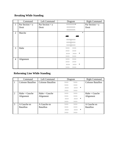# **Breaking While Standing**

|                | Command           | Left Command      | Diagram                                                                                                         | <b>Right Command</b> |
|----------------|-------------------|-------------------|-----------------------------------------------------------------------------------------------------------------|----------------------|
| 1              | Par Section $= a$ | Par Section $= a$ | ΛΛΛΛΛΛΛΛ*                                                                                                       | Par Section $= a$    |
|                | Droit             | Droit             | <b>AAAAAAAA</b>                                                                                                 | Droit                |
|                |                   |                   | <b>AAAAAAAA</b>                                                                                                 |                      |
| $\overline{2}$ | Marche            |                   | $\ast$                                                                                                          |                      |
|                |                   |                   |                                                                                                                 |                      |
|                |                   |                   | $\mathsf{V} \mathsf{V} \mathsf{V} \mathsf{V} \mathsf{V} \mathsf{V} \mathsf{V} \mathsf{V} \mathsf{V} \mathsf{V}$ |                      |
|                |                   |                   | ΛΛΛΛ ΛΛΛΛ                                                                                                       |                      |
|                |                   |                   | ΛΛΛΛ ΛΛΛΛ                                                                                                       |                      |
| 3              | Halte             |                   | >>> >>>                                                                                                         |                      |
|                |                   |                   | >>><br>>>                                                                                                       |                      |
|                |                   |                   | ∗<br>$>>>$<br>>>>                                                                                               |                      |
|                |                   |                   | >><br>>>                                                                                                        |                      |
| $\overline{4}$ | Alignment         |                   | >><br>>>>                                                                                                       |                      |
|                |                   |                   | $>>>$<br>>>                                                                                                     |                      |
|                |                   |                   | $>>>$ *<br>>>>                                                                                                  |                      |
|                |                   |                   | $>>>$ $>>>$                                                                                                     |                      |

# **Reforming Line While Standing**

|              | Command                  | Left Command             | Diagram                | <b>Right Command</b>     |
|--------------|--------------------------|--------------------------|------------------------|--------------------------|
| $\mathbf{1}$ | <b>Colonne Bataillon</b> | <b>Colonne Bataillon</b> | >><br>>>               | <b>Colonne Bataillon</b> |
|              |                          |                          | >>><br>>>              |                          |
|              |                          |                          | $\ast$<br>$>>>$<br>>>> |                          |
|              |                          |                          | >><br>>>               |                          |
| 2            | $H$ alte = Gauche        | $H$ alte = Gauche        | >><br>>>               | $H$ alte = Gauche        |
|              | Alignment                | Alignment                | >><br>>>               | Alignment                |
|              |                          |                          | $\ast$<br>$>>>$<br>>>  |                          |
|              |                          |                          | >><br>>>               |                          |
| 3            | A Gauche en              | A Gauche en              | >>><br>>>              | A Gauche en              |
|              | <b>Bataillon</b>         | <b>Bataillon</b>         | >><br>>>>              | <b>Bataillon</b>         |
|              |                          |                          | $\ast$<br>>><br>>>     |                          |
|              |                          |                          | >><br>>>>              |                          |